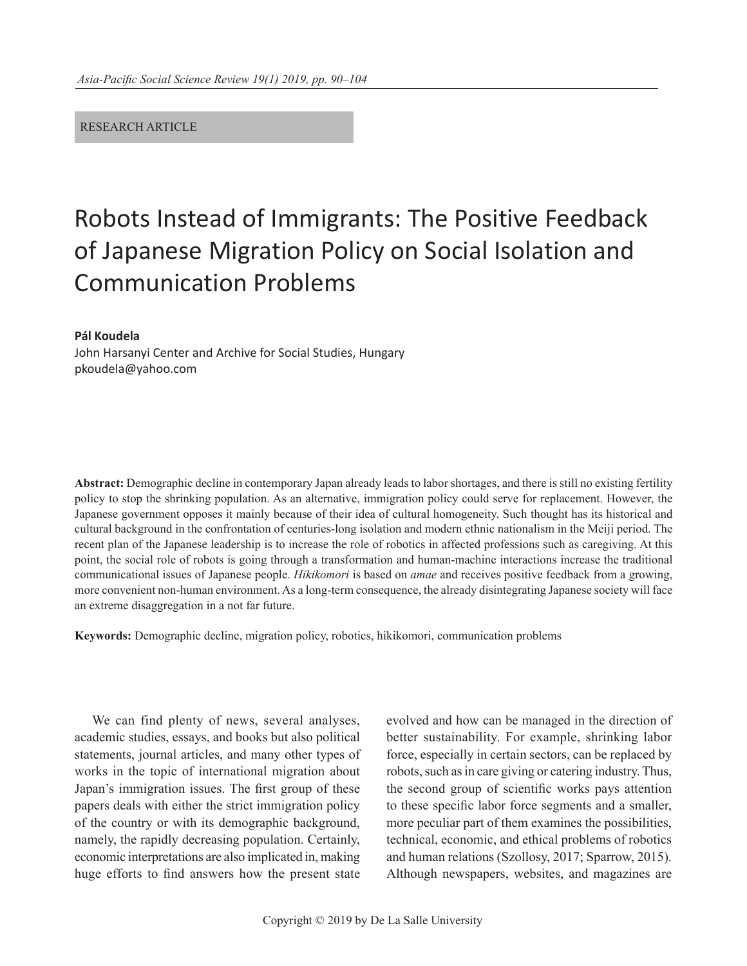### RESEARCH ARTICLE

# Robots Instead of Immigrants: The Positive Feedback of Japanese Migration Policy on Social Isolation and Communication Problems

#### **Pál Koudela**

John Harsanyi Center and Archive for Social Studies, Hungary pkoudela@yahoo.com

**Abstract:** Demographic decline in contemporary Japan already leads to labor shortages, and there is still no existing fertility policy to stop the shrinking population. As an alternative, immigration policy could serve for replacement. However, the Japanese government opposes it mainly because of their idea of cultural homogeneity. Such thought has its historical and cultural background in the confrontation of centuries-long isolation and modern ethnic nationalism in the Meiji period. The recent plan of the Japanese leadership is to increase the role of robotics in affected professions such as caregiving. At this point, the social role of robots is going through a transformation and human-machine interactions increase the traditional communicational issues of Japanese people. *Hikikomori* is based on *amae* and receives positive feedback from a growing, more convenient non-human environment. As a long-term consequence, the already disintegrating Japanese society will face an extreme disaggregation in a not far future.

**Keywords:** Demographic decline, migration policy, robotics, hikikomori, communication problems

We can find plenty of news, several analyses, academic studies, essays, and books but also political statements, journal articles, and many other types of works in the topic of international migration about Japan's immigration issues. The first group of these papers deals with either the strict immigration policy of the country or with its demographic background, namely, the rapidly decreasing population. Certainly, economic interpretations are also implicated in, making huge efforts to find answers how the present state

evolved and how can be managed in the direction of better sustainability. For example, shrinking labor force, especially in certain sectors, can be replaced by robots, such as in care giving or catering industry. Thus, the second group of scientific works pays attention to these specific labor force segments and a smaller, more peculiar part of them examines the possibilities, technical, economic, and ethical problems of robotics and human relations (Szollosy, 2017; Sparrow, 2015). Although newspapers, websites, and magazines are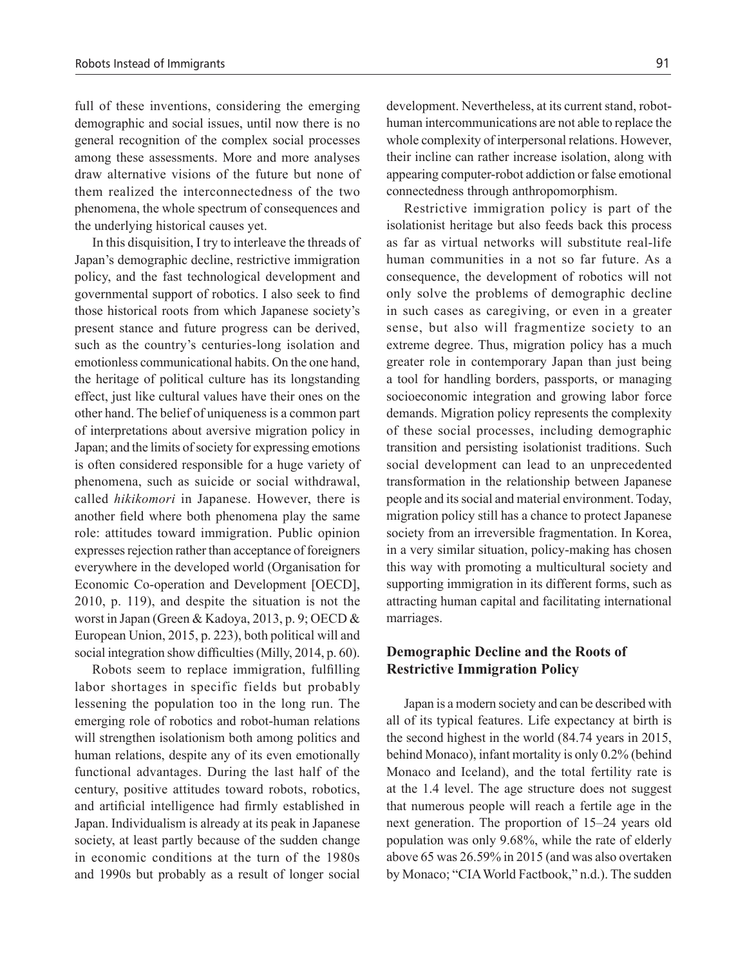full of these inventions, considering the emerging demographic and social issues, until now there is no general recognition of the complex social processes among these assessments. More and more analyses draw alternative visions of the future but none of them realized the interconnectedness of the two phenomena, the whole spectrum of consequences and the underlying historical causes yet.

In this disquisition, I try to interleave the threads of Japan's demographic decline, restrictive immigration policy, and the fast technological development and governmental support of robotics. I also seek to find those historical roots from which Japanese society's present stance and future progress can be derived, such as the country's centuries-long isolation and emotionless communicational habits. On the one hand, the heritage of political culture has its longstanding effect, just like cultural values have their ones on the other hand. The belief of uniqueness is a common part of interpretations about aversive migration policy in Japan; and the limits of society for expressing emotions is often considered responsible for a huge variety of phenomena, such as suicide or social withdrawal, called *hikikomori* in Japanese. However, there is another field where both phenomena play the same role: attitudes toward immigration. Public opinion expresses rejection rather than acceptance of foreigners everywhere in the developed world (Organisation for Economic Co-operation and Development [OECD], 2010, p. 119), and despite the situation is not the worst in Japan (Green & Kadoya, 2013, p. 9; OECD & European Union, 2015, p. 223), both political will and social integration show difficulties (Milly, 2014, p. 60).

Robots seem to replace immigration, fulfilling labor shortages in specific fields but probably lessening the population too in the long run. The emerging role of robotics and robot-human relations will strengthen isolationism both among politics and human relations, despite any of its even emotionally functional advantages. During the last half of the century, positive attitudes toward robots, robotics, and artificial intelligence had firmly established in Japan. Individualism is already at its peak in Japanese society, at least partly because of the sudden change in economic conditions at the turn of the 1980s and 1990s but probably as a result of longer social development. Nevertheless, at its current stand, robothuman intercommunications are not able to replace the whole complexity of interpersonal relations. However, their incline can rather increase isolation, along with appearing computer-robot addiction or false emotional connectedness through anthropomorphism.

Restrictive immigration policy is part of the isolationist heritage but also feeds back this process as far as virtual networks will substitute real-life human communities in a not so far future. As a consequence, the development of robotics will not only solve the problems of demographic decline in such cases as caregiving, or even in a greater sense, but also will fragmentize society to an extreme degree. Thus, migration policy has a much greater role in contemporary Japan than just being a tool for handling borders, passports, or managing socioeconomic integration and growing labor force demands. Migration policy represents the complexity of these social processes, including demographic transition and persisting isolationist traditions. Such social development can lead to an unprecedented transformation in the relationship between Japanese people and its social and material environment. Today, migration policy still has a chance to protect Japanese society from an irreversible fragmentation. In Korea, in a very similar situation, policy-making has chosen this way with promoting a multicultural society and supporting immigration in its different forms, such as attracting human capital and facilitating international marriages.

# **Demographic Decline and the Roots of Restrictive Immigration Policy**

Japan is a modern society and can be described with all of its typical features. Life expectancy at birth is the second highest in the world (84.74 years in 2015, behind Monaco), infant mortality is only 0.2% (behind Monaco and Iceland), and the total fertility rate is at the 1.4 level. The age structure does not suggest that numerous people will reach a fertile age in the next generation. The proportion of 15–24 years old population was only 9.68%, while the rate of elderly above 65 was 26.59% in 2015 (and was also overtaken by Monaco; "CIA World Factbook," n.d.). The sudden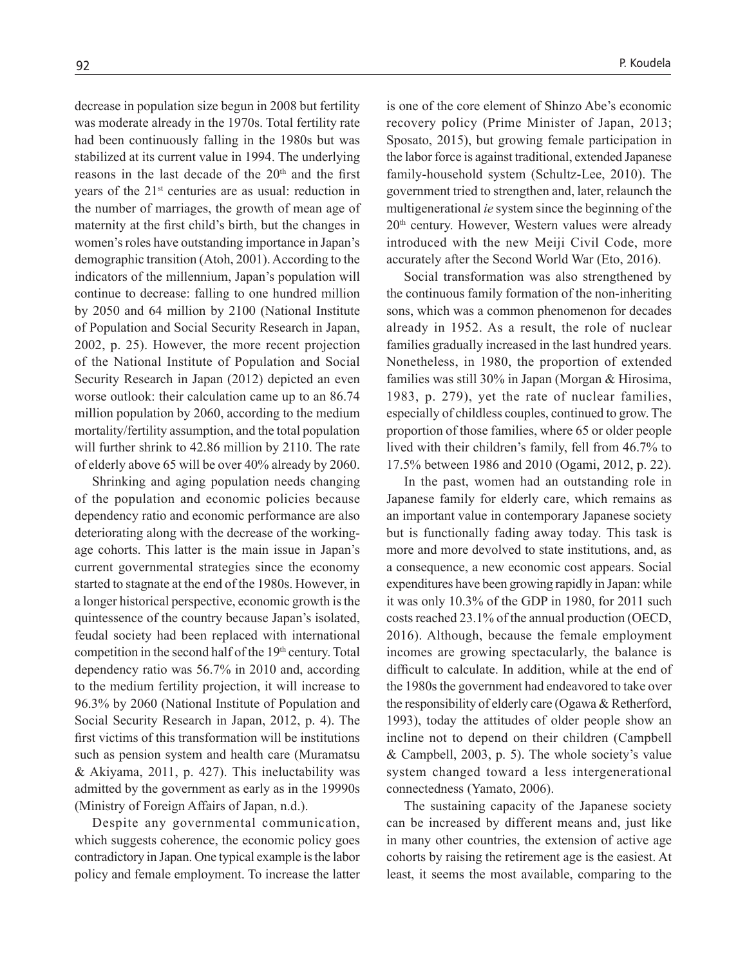decrease in population size begun in 2008 but fertility was moderate already in the 1970s. Total fertility rate had been continuously falling in the 1980s but was stabilized at its current value in 1994. The underlying reasons in the last decade of the 20<sup>th</sup> and the first years of the 21st centuries are as usual: reduction in the number of marriages, the growth of mean age of maternity at the first child's birth, but the changes in women's roles have outstanding importance in Japan's demographic transition (Atoh, 2001). According to the indicators of the millennium, Japan's population will continue to decrease: falling to one hundred million by 2050 and 64 million by 2100 (National Institute of Population and Social Security Research in Japan, 2002, p. 25). However, the more recent projection of the National Institute of Population and Social Security Research in Japan (2012) depicted an even worse outlook: their calculation came up to an 86.74 million population by 2060, according to the medium mortality/fertility assumption, and the total population will further shrink to 42.86 million by 2110. The rate of elderly above 65 will be over 40% already by 2060.

Shrinking and aging population needs changing of the population and economic policies because dependency ratio and economic performance are also deteriorating along with the decrease of the workingage cohorts. This latter is the main issue in Japan's current governmental strategies since the economy started to stagnate at the end of the 1980s. However, in a longer historical perspective, economic growth is the quintessence of the country because Japan's isolated, feudal society had been replaced with international competition in the second half of the 19<sup>th</sup> century. Total dependency ratio was 56.7% in 2010 and, according to the medium fertility projection, it will increase to 96.3% by 2060 (National Institute of Population and Social Security Research in Japan, 2012, p. 4). The first victims of this transformation will be institutions such as pension system and health care (Muramatsu & Akiyama, 2011, p. 427). This ineluctability was admitted by the government as early as in the 19990s (Ministry of Foreign Affairs of Japan, n.d.).

Despite any governmental communication, which suggests coherence, the economic policy goes contradictory in Japan. One typical example is the labor policy and female employment. To increase the latter is one of the core element of Shinzo Abe's economic recovery policy (Prime Minister of Japan, 2013; Sposato, 2015), but growing female participation in the labor force is against traditional, extended Japanese family-household system (Schultz-Lee, 2010). The government tried to strengthen and, later, relaunch the multigenerational *ie* system since the beginning of the 20th century. However, Western values were already introduced with the new Meiji Civil Code, more accurately after the Second World War (Eto, 2016).

Social transformation was also strengthened by the continuous family formation of the non-inheriting sons, which was a common phenomenon for decades already in 1952. As a result, the role of nuclear families gradually increased in the last hundred years. Nonetheless, in 1980, the proportion of extended families was still 30% in Japan (Morgan & Hirosima, 1983, p. 279), yet the rate of nuclear families, especially of childless couples, continued to grow. The proportion of those families, where 65 or older people lived with their children's family, fell from 46.7% to 17.5% between 1986 and 2010 (Ogami, 2012, p. 22).

In the past, women had an outstanding role in Japanese family for elderly care, which remains as an important value in contemporary Japanese society but is functionally fading away today. This task is more and more devolved to state institutions, and, as a consequence, a new economic cost appears. Social expenditures have been growing rapidly in Japan: while it was only 10.3% of the GDP in 1980, for 2011 such costs reached 23.1% of the annual production (OECD, 2016). Although, because the female employment incomes are growing spectacularly, the balance is difficult to calculate. In addition, while at the end of the 1980s the government had endeavored to take over the responsibility of elderly care (Ogawa & Retherford, 1993), today the attitudes of older people show an incline not to depend on their children (Campbell & Campbell, 2003, p. 5). The whole society's value system changed toward a less intergenerational connectedness (Yamato, 2006).

The sustaining capacity of the Japanese society can be increased by different means and, just like in many other countries, the extension of active age cohorts by raising the retirement age is the easiest. At least, it seems the most available, comparing to the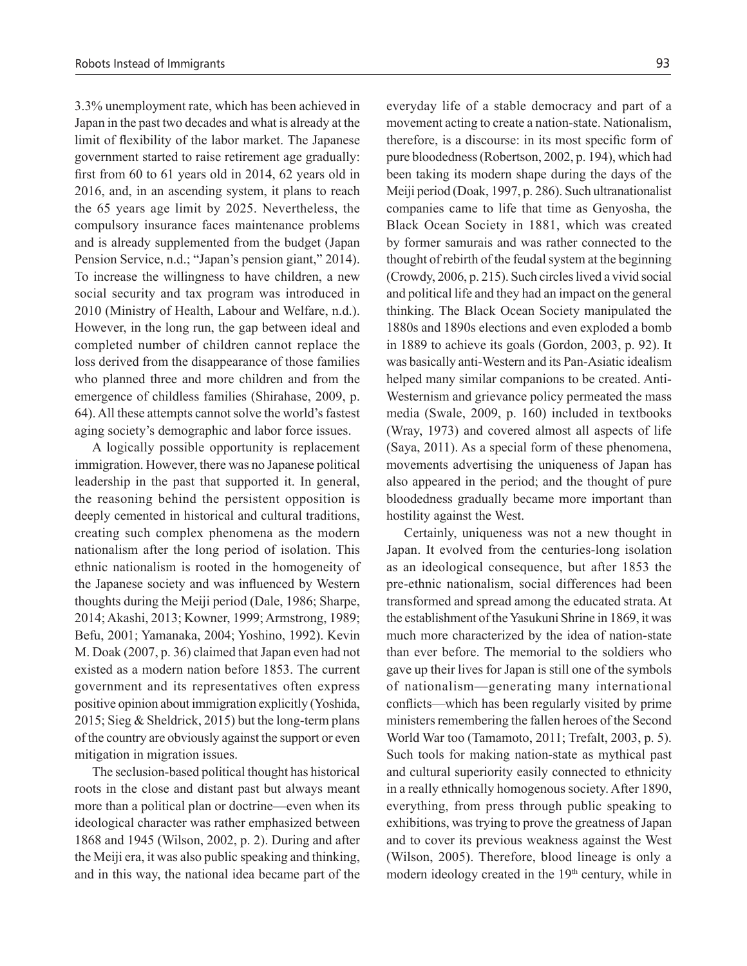3.3% unemployment rate, which has been achieved in Japan in the past two decades and what is already at the limit of flexibility of the labor market. The Japanese government started to raise retirement age gradually: first from 60 to 61 years old in 2014, 62 years old in 2016, and, in an ascending system, it plans to reach the 65 years age limit by 2025. Nevertheless, the compulsory insurance faces maintenance problems and is already supplemented from the budget (Japan Pension Service, n.d.; "Japan's pension giant," 2014). To increase the willingness to have children, a new social security and tax program was introduced in 2010 (Ministry of Health, Labour and Welfare, n.d.). However, in the long run, the gap between ideal and completed number of children cannot replace the loss derived from the disappearance of those families who planned three and more children and from the emergence of childless families (Shirahase, 2009, p. 64). All these attempts cannot solve the world's fastest aging society's demographic and labor force issues.

A logically possible opportunity is replacement immigration. However, there was no Japanese political leadership in the past that supported it. In general, the reasoning behind the persistent opposition is deeply cemented in historical and cultural traditions, creating such complex phenomena as the modern nationalism after the long period of isolation. This ethnic nationalism is rooted in the homogeneity of the Japanese society and was influenced by Western thoughts during the Meiji period (Dale, 1986; Sharpe, 2014; Akashi, 2013; Kowner, 1999; Armstrong, 1989; Befu, 2001; Yamanaka, 2004; Yoshino, 1992). Kevin M. Doak (2007, p. 36) claimed that Japan even had not existed as a modern nation before 1853. The current government and its representatives often express positive opinion about immigration explicitly (Yoshida, 2015; Sieg & Sheldrick, 2015) but the long-term plans of the country are obviously against the support or even mitigation in migration issues.

The seclusion-based political thought has historical roots in the close and distant past but always meant more than a political plan or doctrine—even when its ideological character was rather emphasized between 1868 and 1945 (Wilson, 2002, p. 2). During and after the Meiji era, it was also public speaking and thinking, and in this way, the national idea became part of the everyday life of a stable democracy and part of a movement acting to create a nation-state. Nationalism, therefore, is a discourse: in its most specific form of pure bloodedness (Robertson, 2002, p. 194), which had been taking its modern shape during the days of the Meiji period (Doak, 1997, p. 286). Such ultranationalist companies came to life that time as Genyosha, the Black Ocean Society in 1881, which was created by former samurais and was rather connected to the thought of rebirth of the feudal system at the beginning (Crowdy, 2006, p. 215). Such circles lived a vivid social and political life and they had an impact on the general thinking. The Black Ocean Society manipulated the 1880s and 1890s elections and even exploded a bomb in 1889 to achieve its goals (Gordon, 2003, p. 92). It was basically anti-Western and its Pan-Asiatic idealism helped many similar companions to be created. Anti-Westernism and grievance policy permeated the mass media (Swale, 2009, p. 160) included in textbooks (Wray, 1973) and covered almost all aspects of life (Saya, 2011). As a special form of these phenomena, movements advertising the uniqueness of Japan has also appeared in the period; and the thought of pure bloodedness gradually became more important than hostility against the West.

Certainly, uniqueness was not a new thought in Japan. It evolved from the centuries-long isolation as an ideological consequence, but after 1853 the pre-ethnic nationalism, social differences had been transformed and spread among the educated strata. At the establishment of the Yasukuni Shrine in 1869, it was much more characterized by the idea of nation-state than ever before. The memorial to the soldiers who gave up their lives for Japan is still one of the symbols of nationalism—generating many international conflicts—which has been regularly visited by prime ministers remembering the fallen heroes of the Second World War too (Tamamoto, 2011; Trefalt, 2003, p. 5). Such tools for making nation-state as mythical past and cultural superiority easily connected to ethnicity in a really ethnically homogenous society. After 1890, everything, from press through public speaking to exhibitions, was trying to prove the greatness of Japan and to cover its previous weakness against the West (Wilson, 2005). Therefore, blood lineage is only a modern ideology created in the  $19<sup>th</sup>$  century, while in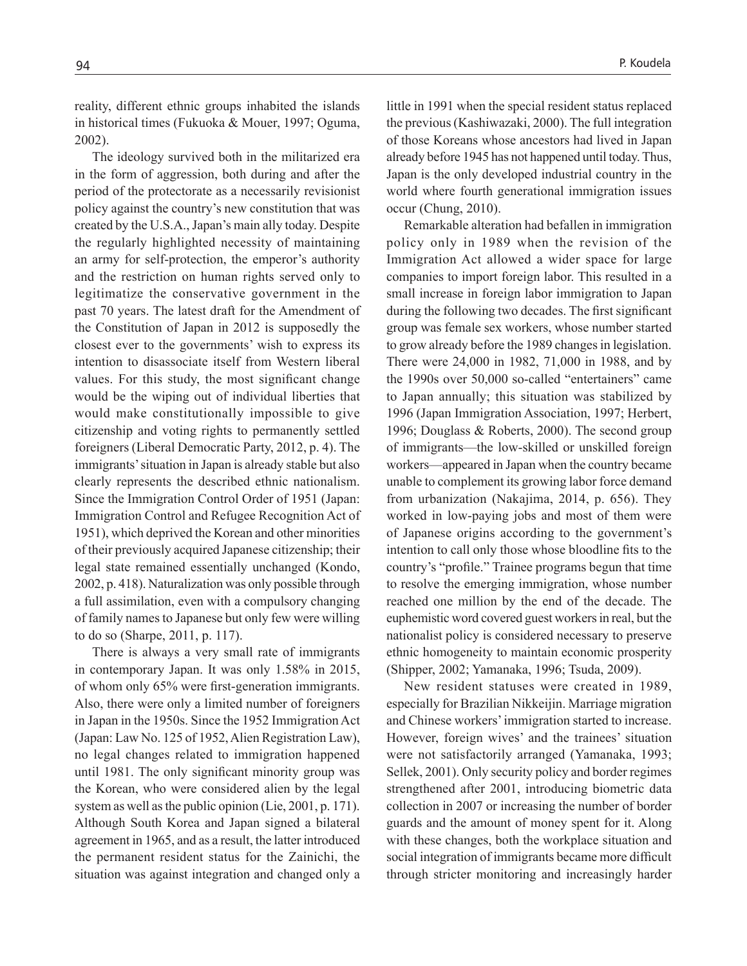reality, different ethnic groups inhabited the islands in historical times (Fukuoka & Mouer, 1997; Oguma, 2002).

The ideology survived both in the militarized era in the form of aggression, both during and after the period of the protectorate as a necessarily revisionist policy against the country's new constitution that was created by the U.S.A., Japan's main ally today. Despite the regularly highlighted necessity of maintaining an army for self-protection, the emperor's authority and the restriction on human rights served only to legitimatize the conservative government in the past 70 years. The latest draft for the Amendment of the Constitution of Japan in 2012 is supposedly the closest ever to the governments' wish to express its intention to disassociate itself from Western liberal values. For this study, the most significant change would be the wiping out of individual liberties that would make constitutionally impossible to give citizenship and voting rights to permanently settled foreigners (Liberal Democratic Party, 2012, p. 4). The immigrants' situation in Japan is already stable but also clearly represents the described ethnic nationalism. Since the Immigration Control Order of 1951 (Japan: Immigration Control and Refugee Recognition Act of 1951), which deprived the Korean and other minorities of their previously acquired Japanese citizenship; their legal state remained essentially unchanged (Kondo, 2002, p. 418). Naturalization was only possible through a full assimilation, even with a compulsory changing of family names to Japanese but only few were willing to do so (Sharpe, 2011, p. 117).

There is always a very small rate of immigrants in contemporary Japan. It was only 1.58% in 2015, of whom only 65% were first-generation immigrants. Also, there were only a limited number of foreigners in Japan in the 1950s. Since the 1952 Immigration Act (Japan: Law No. 125 of 1952, Alien Registration Law), no legal changes related to immigration happened until 1981. The only significant minority group was the Korean, who were considered alien by the legal system as well as the public opinion (Lie, 2001, p. 171). Although South Korea and Japan signed a bilateral agreement in 1965, and as a result, the latter introduced the permanent resident status for the Zainichi, the situation was against integration and changed only a little in 1991 when the special resident status replaced the previous (Kashiwazaki, 2000). The full integration of those Koreans whose ancestors had lived in Japan already before 1945 has not happened until today. Thus, Japan is the only developed industrial country in the world where fourth generational immigration issues occur (Chung, 2010).

Remarkable alteration had befallen in immigration policy only in 1989 when the revision of the Immigration Act allowed a wider space for large companies to import foreign labor. This resulted in a small increase in foreign labor immigration to Japan during the following two decades. The first significant group was female sex workers, whose number started to grow already before the 1989 changes in legislation. There were 24,000 in 1982, 71,000 in 1988, and by the 1990s over 50,000 so-called "entertainers" came to Japan annually; this situation was stabilized by 1996 (Japan Immigration Association, 1997; Herbert, 1996; Douglass & Roberts, 2000). The second group of immigrants—the low-skilled or unskilled foreign workers—appeared in Japan when the country became unable to complement its growing labor force demand from urbanization (Nakajima, 2014, p. 656). They worked in low-paying jobs and most of them were of Japanese origins according to the government's intention to call only those whose bloodline fits to the country's "profile." Trainee programs begun that time to resolve the emerging immigration, whose number reached one million by the end of the decade. The euphemistic word covered guest workers in real, but the nationalist policy is considered necessary to preserve ethnic homogeneity to maintain economic prosperity (Shipper, 2002; Yamanaka, 1996; Tsuda, 2009).

New resident statuses were created in 1989, especially for Brazilian Nikkeijin. Marriage migration and Chinese workers' immigration started to increase. However, foreign wives' and the trainees' situation were not satisfactorily arranged (Yamanaka, 1993; Sellek, 2001). Only security policy and border regimes strengthened after 2001, introducing biometric data collection in 2007 or increasing the number of border guards and the amount of money spent for it. Along with these changes, both the workplace situation and social integration of immigrants became more difficult through stricter monitoring and increasingly harder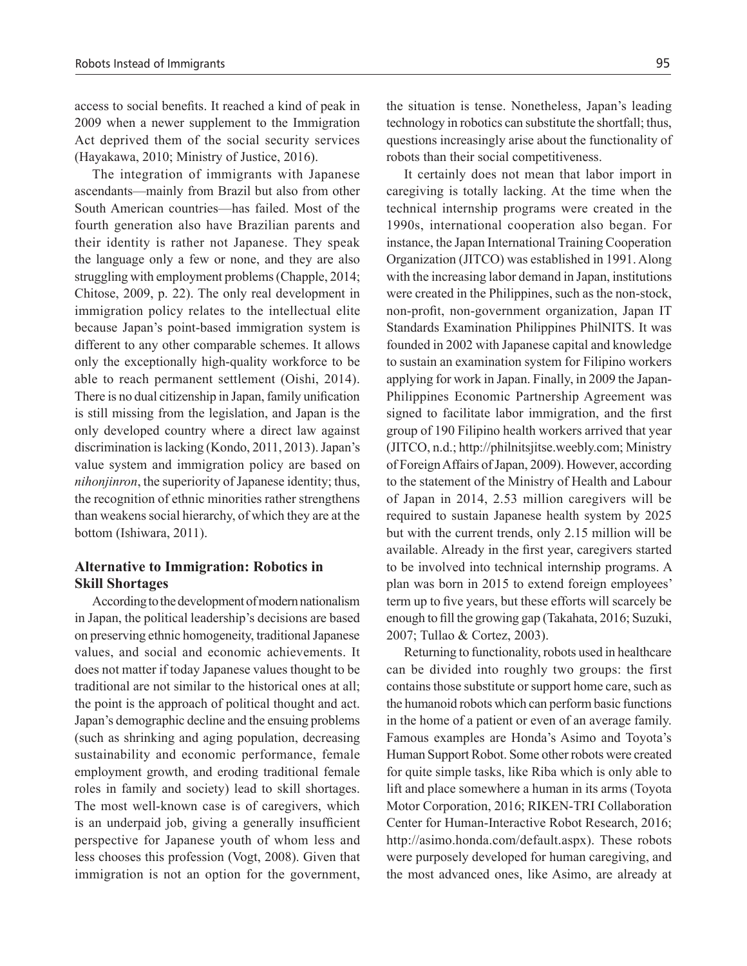access to social benefits. It reached a kind of peak in 2009 when a newer supplement to the Immigration Act deprived them of the social security services (Hayakawa, 2010; Ministry of Justice, 2016).

The integration of immigrants with Japanese ascendants—mainly from Brazil but also from other South American countries—has failed. Most of the fourth generation also have Brazilian parents and their identity is rather not Japanese. They speak the language only a few or none, and they are also struggling with employment problems (Chapple, 2014; Chitose, 2009, p. 22). The only real development in immigration policy relates to the intellectual elite because Japan's point-based immigration system is different to any other comparable schemes. It allows only the exceptionally high-quality workforce to be able to reach permanent settlement (Oishi, 2014). There is no dual citizenship in Japan, family unification is still missing from the legislation, and Japan is the only developed country where a direct law against discrimination is lacking (Kondo, 2011, 2013). Japan's value system and immigration policy are based on *nihonjinron*, the superiority of Japanese identity; thus, the recognition of ethnic minorities rather strengthens than weakens social hierarchy, of which they are at the bottom (Ishiwara, 2011).

## **Alternative to Immigration: Robotics in Skill Shortages**

According to the development of modern nationalism in Japan, the political leadership's decisions are based on preserving ethnic homogeneity, traditional Japanese values, and social and economic achievements. It does not matter if today Japanese values thought to be traditional are not similar to the historical ones at all; the point is the approach of political thought and act. Japan's demographic decline and the ensuing problems (such as shrinking and aging population, decreasing sustainability and economic performance, female employment growth, and eroding traditional female roles in family and society) lead to skill shortages. The most well-known case is of caregivers, which is an underpaid job, giving a generally insufficient perspective for Japanese youth of whom less and less chooses this profession (Vogt, 2008). Given that immigration is not an option for the government, the situation is tense. Nonetheless, Japan's leading technology in robotics can substitute the shortfall; thus, questions increasingly arise about the functionality of robots than their social competitiveness.

It certainly does not mean that labor import in caregiving is totally lacking. At the time when the technical internship programs were created in the 1990s, international cooperation also began. For instance, the Japan International Training Cooperation Organization (JITCO) was established in 1991. Along with the increasing labor demand in Japan, institutions were created in the Philippines, such as the non-stock, non-profit, non-government organization, Japan IT Standards Examination Philippines PhilNITS. It was founded in 2002 with Japanese capital and knowledge to sustain an examination system for Filipino workers applying for work in Japan. Finally, in 2009 the Japan-Philippines Economic Partnership Agreement was signed to facilitate labor immigration, and the first group of 190 Filipino health workers arrived that year (JITCO, n.d.; http://philnitsjitse.weebly.com; Ministry of Foreign Affairs of Japan, 2009). However, according to the statement of the Ministry of Health and Labour of Japan in 2014, 2.53 million caregivers will be required to sustain Japanese health system by 2025 but with the current trends, only 2.15 million will be available. Already in the first year, caregivers started to be involved into technical internship programs. A plan was born in 2015 to extend foreign employees' term up to five years, but these efforts will scarcely be enough to fill the growing gap (Takahata, 2016; Suzuki, 2007; Tullao & Cortez, 2003).

Returning to functionality, robots used in healthcare can be divided into roughly two groups: the first contains those substitute or support home care, such as the humanoid robots which can perform basic functions in the home of a patient or even of an average family. Famous examples are Honda's Asimo and Toyota's Human Support Robot. Some other robots were created for quite simple tasks, like Riba which is only able to lift and place somewhere a human in its arms (Toyota Motor Corporation, 2016; RIKEN-TRI Collaboration Center for Human-Interactive Robot Research, 2016; http://asimo.honda.com/default.aspx). These robots were purposely developed for human caregiving, and the most advanced ones, like Asimo, are already at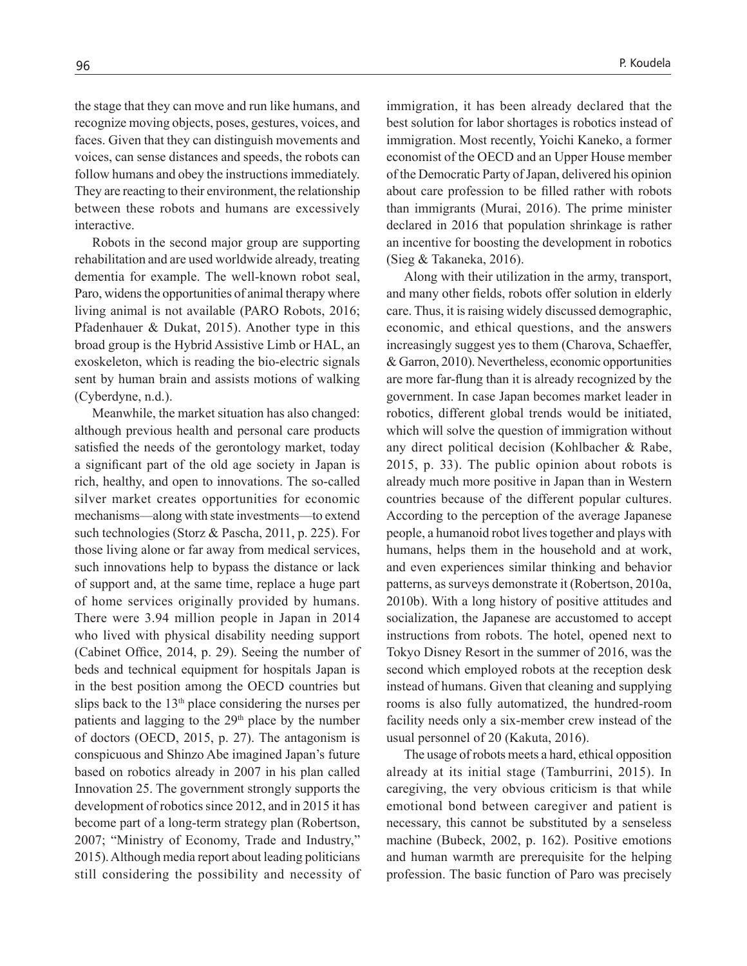the stage that they can move and run like humans, and recognize moving objects, poses, gestures, voices, and faces. Given that they can distinguish movements and voices, can sense distances and speeds, the robots can follow humans and obey the instructions immediately. They are reacting to their environment, the relationship between these robots and humans are excessively interactive.

Robots in the second major group are supporting rehabilitation and are used worldwide already, treating dementia for example. The well-known robot seal, Paro, widens the opportunities of animal therapy where living animal is not available (PARO Robots, 2016; Pfadenhauer & Dukat, 2015). Another type in this broad group is the Hybrid Assistive Limb or HAL, an exoskeleton, which is reading the bio-electric signals sent by human brain and assists motions of walking (Cyberdyne, n.d.).

Meanwhile, the market situation has also changed: although previous health and personal care products satisfied the needs of the gerontology market, today a significant part of the old age society in Japan is rich, healthy, and open to innovations. The so-called silver market creates opportunities for economic mechanisms—along with state investments—to extend such technologies (Storz & Pascha, 2011, p. 225). For those living alone or far away from medical services, such innovations help to bypass the distance or lack of support and, at the same time, replace a huge part of home services originally provided by humans. There were 3.94 million people in Japan in 2014 who lived with physical disability needing support (Cabinet Office, 2014, p. 29). Seeing the number of beds and technical equipment for hospitals Japan is in the best position among the OECD countries but slips back to the  $13<sup>th</sup>$  place considering the nurses per patients and lagging to the 29<sup>th</sup> place by the number of doctors (OECD, 2015, p. 27). The antagonism is conspicuous and Shinzo Abe imagined Japan's future based on robotics already in 2007 in his plan called Innovation 25. The government strongly supports the development of robotics since 2012, and in 2015 it has become part of a long-term strategy plan (Robertson, 2007; "Ministry of Economy, Trade and Industry," 2015). Although media report about leading politicians still considering the possibility and necessity of immigration, it has been already declared that the best solution for labor shortages is robotics instead of immigration. Most recently, Yoichi Kaneko, a former economist of the OECD and an Upper House member of the Democratic Party of Japan, delivered his opinion about care profession to be filled rather with robots than immigrants (Murai, 2016). The prime minister declared in 2016 that population shrinkage is rather an incentive for boosting the development in robotics (Sieg & Takaneka, 2016).

Along with their utilization in the army, transport, and many other fields, robots offer solution in elderly care. Thus, it is raising widely discussed demographic, economic, and ethical questions, and the answers increasingly suggest yes to them (Charova, Schaeffer, & Garron, 2010). Nevertheless, economic opportunities are more far-flung than it is already recognized by the government. In case Japan becomes market leader in robotics, different global trends would be initiated, which will solve the question of immigration without any direct political decision (Kohlbacher & Rabe, 2015, p. 33). The public opinion about robots is already much more positive in Japan than in Western countries because of the different popular cultures. According to the perception of the average Japanese people, a humanoid robot lives together and plays with humans, helps them in the household and at work, and even experiences similar thinking and behavior patterns, as surveys demonstrate it (Robertson, 2010a, 2010b). With a long history of positive attitudes and socialization, the Japanese are accustomed to accept instructions from robots. The hotel, opened next to Tokyo Disney Resort in the summer of 2016, was the second which employed robots at the reception desk instead of humans. Given that cleaning and supplying rooms is also fully automatized, the hundred-room facility needs only a six-member crew instead of the usual personnel of 20 (Kakuta, 2016).

The usage of robots meets a hard, ethical opposition already at its initial stage (Tamburrini, 2015). In caregiving, the very obvious criticism is that while emotional bond between caregiver and patient is necessary, this cannot be substituted by a senseless machine (Bubeck, 2002, p. 162). Positive emotions and human warmth are prerequisite for the helping profession. The basic function of Paro was precisely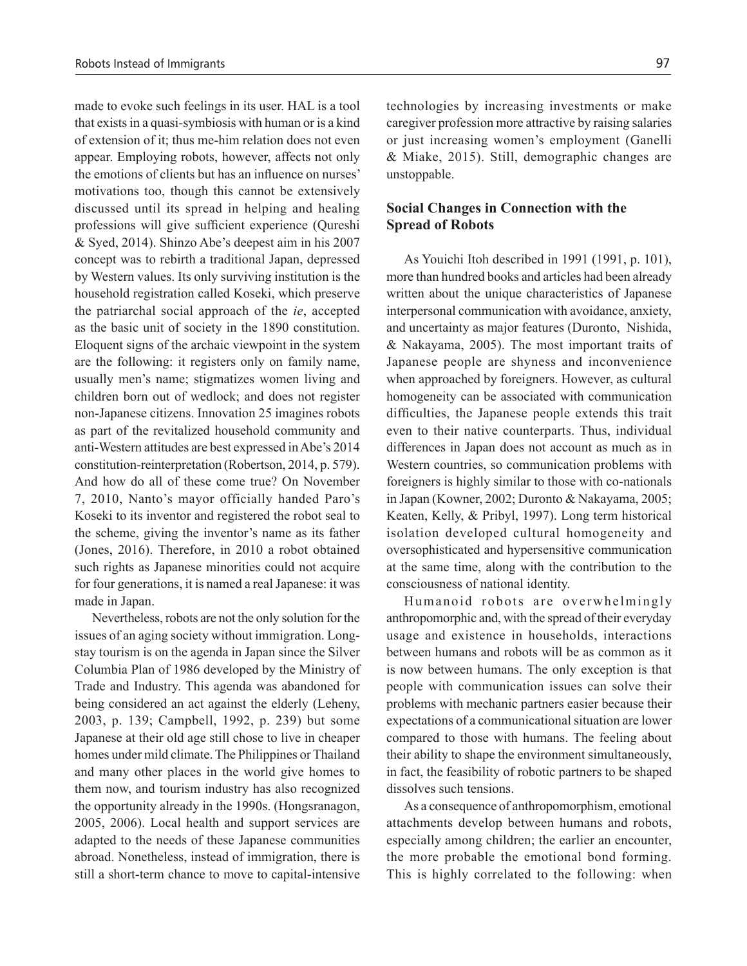made to evoke such feelings in its user. HAL is a tool that exists in a quasi-symbiosis with human or is a kind of extension of it; thus me-him relation does not even appear. Employing robots, however, affects not only the emotions of clients but has an influence on nurses' motivations too, though this cannot be extensively discussed until its spread in helping and healing professions will give sufficient experience (Qureshi & Syed, 2014). Shinzo Abe's deepest aim in his 2007 concept was to rebirth a traditional Japan, depressed by Western values. Its only surviving institution is the household registration called Koseki, which preserve the patriarchal social approach of the *ie*, accepted as the basic unit of society in the 1890 constitution. Eloquent signs of the archaic viewpoint in the system are the following: it registers only on family name, usually men's name; stigmatizes women living and children born out of wedlock; and does not register non-Japanese citizens. Innovation 25 imagines robots as part of the revitalized household community and anti-Western attitudes are best expressed in Abe's 2014 constitution-reinterpretation (Robertson, 2014, p. 579). And how do all of these come true? On November 7, 2010, Nanto's mayor officially handed Paro's Koseki to its inventor and registered the robot seal to the scheme, giving the inventor's name as its father (Jones, 2016). Therefore, in 2010 a robot obtained such rights as Japanese minorities could not acquire for four generations, it is named a real Japanese: it was made in Japan.

Nevertheless, robots are not the only solution for the issues of an aging society without immigration. Longstay tourism is on the agenda in Japan since the Silver Columbia Plan of 1986 developed by the Ministry of Trade and Industry. This agenda was abandoned for being considered an act against the elderly (Leheny, 2003, p. 139; Campbell, 1992, p. 239) but some Japanese at their old age still chose to live in cheaper homes under mild climate. The Philippines or Thailand and many other places in the world give homes to them now, and tourism industry has also recognized the opportunity already in the 1990s. (Hongsranagon, 2005, 2006). Local health and support services are adapted to the needs of these Japanese communities abroad. Nonetheless, instead of immigration, there is still a short-term chance to move to capital-intensive

technologies by increasing investments or make caregiver profession more attractive by raising salaries or just increasing women's employment (Ganelli & Miake, 2015). Still, demographic changes are unstoppable.

# **Social Changes in Connection with the Spread of Robots**

As Youichi Itoh described in 1991 (1991, p. 101), more than hundred books and articles had been already written about the unique characteristics of Japanese interpersonal communication with avoidance, anxiety, and uncertainty as major features (Duronto, Nishida, & Nakayama, 2005). The most important traits of Japanese people are shyness and inconvenience when approached by foreigners. However, as cultural homogeneity can be associated with communication difficulties, the Japanese people extends this trait even to their native counterparts. Thus, individual differences in Japan does not account as much as in Western countries, so communication problems with foreigners is highly similar to those with co-nationals in Japan (Kowner, 2002; Duronto & Nakayama, 2005; Keaten, Kelly, & Pribyl, 1997). Long term historical isolation developed cultural homogeneity and oversophisticated and hypersensitive communication at the same time, along with the contribution to the consciousness of national identity.

Humanoid robots are overwhelmingly anthropomorphic and, with the spread of their everyday usage and existence in households, interactions between humans and robots will be as common as it is now between humans. The only exception is that people with communication issues can solve their problems with mechanic partners easier because their expectations of a communicational situation are lower compared to those with humans. The feeling about their ability to shape the environment simultaneously, in fact, the feasibility of robotic partners to be shaped dissolves such tensions.

As a consequence of anthropomorphism, emotional attachments develop between humans and robots, especially among children; the earlier an encounter, the more probable the emotional bond forming. This is highly correlated to the following: when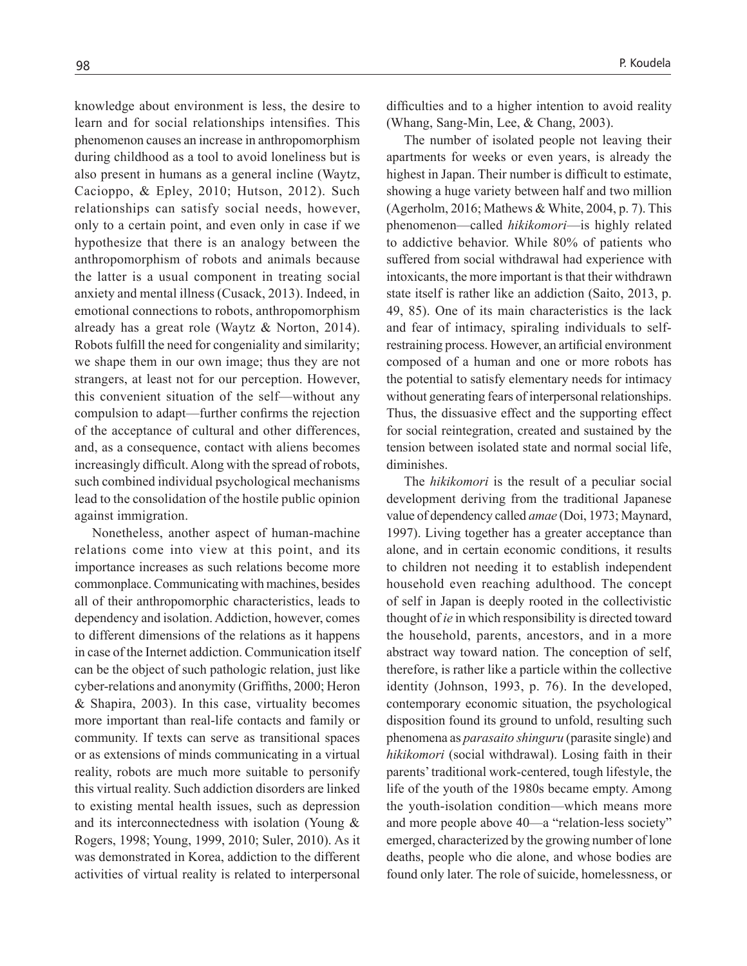knowledge about environment is less, the desire to learn and for social relationships intensifies. This phenomenon causes an increase in anthropomorphism during childhood as a tool to avoid loneliness but is also present in humans as a general incline (Waytz, Cacioppo, & Epley, 2010; Hutson, 2012). Such relationships can satisfy social needs, however, only to a certain point, and even only in case if we hypothesize that there is an analogy between the anthropomorphism of robots and animals because the latter is a usual component in treating social anxiety and mental illness (Cusack, 2013). Indeed, in emotional connections to robots, anthropomorphism already has a great role (Waytz & Norton, 2014). Robots fulfill the need for congeniality and similarity; we shape them in our own image; thus they are not strangers, at least not for our perception. However, this convenient situation of the self—without any compulsion to adapt—further confirms the rejection of the acceptance of cultural and other differences, and, as a consequence, contact with aliens becomes increasingly difficult. Along with the spread of robots, such combined individual psychological mechanisms lead to the consolidation of the hostile public opinion against immigration.

Nonetheless, another aspect of human-machine relations come into view at this point, and its importance increases as such relations become more commonplace. Communicating with machines, besides all of their anthropomorphic characteristics, leads to dependency and isolation. Addiction, however, comes to different dimensions of the relations as it happens in case of the Internet addiction. Communication itself can be the object of such pathologic relation, just like cyber-relations and anonymity (Griffiths, 2000; Heron & Shapira, 2003). In this case, virtuality becomes more important than real-life contacts and family or community. If texts can serve as transitional spaces or as extensions of minds communicating in a virtual reality, robots are much more suitable to personify this virtual reality. Such addiction disorders are linked to existing mental health issues, such as depression and its interconnectedness with isolation (Young & Rogers, 1998; Young, 1999, 2010; Suler, 2010). As it was demonstrated in Korea, addiction to the different activities of virtual reality is related to interpersonal

difficulties and to a higher intention to avoid reality (Whang, Sang-Min, Lee, & Chang, 2003).

The number of isolated people not leaving their apartments for weeks or even years, is already the highest in Japan. Their number is difficult to estimate, showing a huge variety between half and two million (Agerholm, 2016; Mathews & White, 2004, p. 7). This phenomenon—called *hikikomori*—is highly related to addictive behavior. While 80% of patients who suffered from social withdrawal had experience with intoxicants, the more important is that their withdrawn state itself is rather like an addiction (Saito, 2013, p. 49, 85). One of its main characteristics is the lack and fear of intimacy, spiraling individuals to selfrestraining process. However, an artificial environment composed of a human and one or more robots has the potential to satisfy elementary needs for intimacy without generating fears of interpersonal relationships. Thus, the dissuasive effect and the supporting effect for social reintegration, created and sustained by the tension between isolated state and normal social life, diminishes.

The *hikikomori* is the result of a peculiar social development deriving from the traditional Japanese value of dependency called *amae* (Doi, 1973; Maynard, 1997). Living together has a greater acceptance than alone, and in certain economic conditions, it results to children not needing it to establish independent household even reaching adulthood. The concept of self in Japan is deeply rooted in the collectivistic thought of *ie* in which responsibility is directed toward the household, parents, ancestors, and in a more abstract way toward nation. The conception of self, therefore, is rather like a particle within the collective identity (Johnson, 1993, p. 76). In the developed, contemporary economic situation, the psychological disposition found its ground to unfold, resulting such phenomena as *parasaito shinguru* (parasite single) and *hikikomori* (social withdrawal). Losing faith in their parents' traditional work-centered, tough lifestyle, the life of the youth of the 1980s became empty. Among the youth-isolation condition—which means more and more people above 40—a "relation-less society" emerged, characterized by the growing number of lone deaths, people who die alone, and whose bodies are found only later. The role of suicide, homelessness, or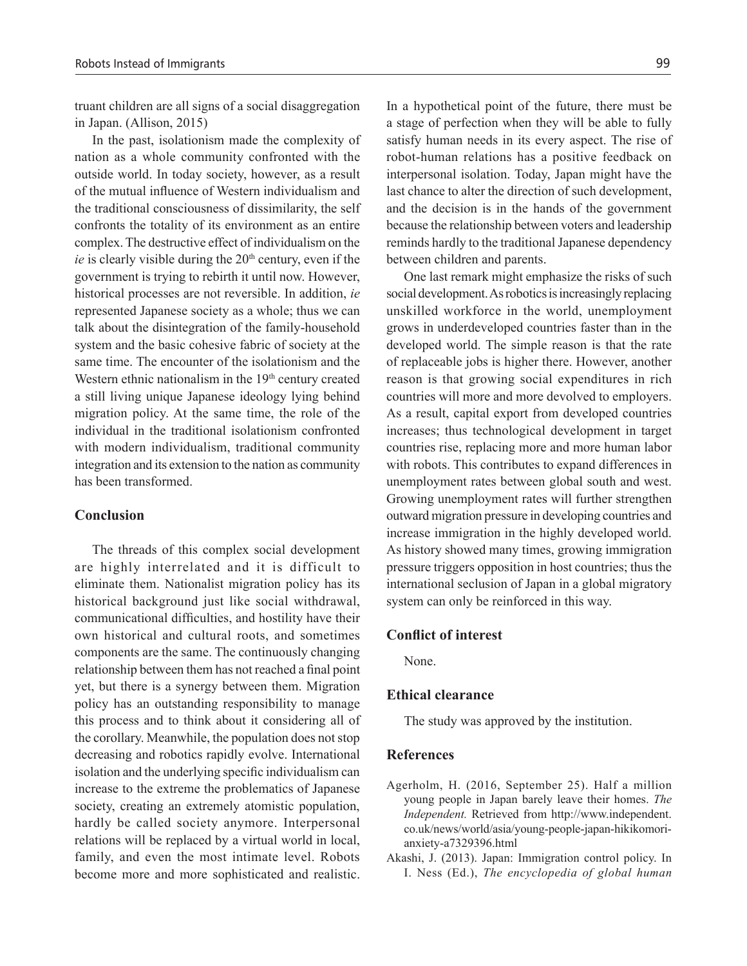truant children are all signs of a social disaggregation in Japan. (Allison, 2015)

In the past, isolationism made the complexity of nation as a whole community confronted with the outside world. In today society, however, as a result of the mutual influence of Western individualism and the traditional consciousness of dissimilarity, the self confronts the totality of its environment as an entire complex. The destructive effect of individualism on the *ie* is clearly visible during the  $20<sup>th</sup>$  century, even if the government is trying to rebirth it until now. However, historical processes are not reversible. In addition, *ie* represented Japanese society as a whole; thus we can talk about the disintegration of the family-household system and the basic cohesive fabric of society at the same time. The encounter of the isolationism and the Western ethnic nationalism in the 19<sup>th</sup> century created a still living unique Japanese ideology lying behind migration policy. At the same time, the role of the individual in the traditional isolationism confronted with modern individualism, traditional community integration and its extension to the nation as community has been transformed.

## **Conclusion**

The threads of this complex social development are highly interrelated and it is difficult to eliminate them. Nationalist migration policy has its historical background just like social withdrawal, communicational difficulties, and hostility have their own historical and cultural roots, and sometimes components are the same. The continuously changing relationship between them has not reached a final point yet, but there is a synergy between them. Migration policy has an outstanding responsibility to manage this process and to think about it considering all of the corollary. Meanwhile, the population does not stop decreasing and robotics rapidly evolve. International isolation and the underlying specific individualism can increase to the extreme the problematics of Japanese society, creating an extremely atomistic population, hardly be called society anymore. Interpersonal relations will be replaced by a virtual world in local, family, and even the most intimate level. Robots become more and more sophisticated and realistic.

In a hypothetical point of the future, there must be a stage of perfection when they will be able to fully satisfy human needs in its every aspect. The rise of robot-human relations has a positive feedback on interpersonal isolation. Today, Japan might have the last chance to alter the direction of such development, and the decision is in the hands of the government because the relationship between voters and leadership reminds hardly to the traditional Japanese dependency between children and parents.

One last remark might emphasize the risks of such social development. As robotics is increasingly replacing unskilled workforce in the world, unemployment grows in underdeveloped countries faster than in the developed world. The simple reason is that the rate of replaceable jobs is higher there. However, another reason is that growing social expenditures in rich countries will more and more devolved to employers. As a result, capital export from developed countries increases; thus technological development in target countries rise, replacing more and more human labor with robots. This contributes to expand differences in unemployment rates between global south and west. Growing unemployment rates will further strengthen outward migration pressure in developing countries and increase immigration in the highly developed world. As history showed many times, growing immigration pressure triggers opposition in host countries; thus the international seclusion of Japan in a global migratory system can only be reinforced in this way.

#### **Conflict of interest**

None.

#### **Ethical clearance**

The study was approved by the institution.

## **References**

- Agerholm, H. (2016, September 25). Half a million young people in Japan barely leave their homes. *The Independent.* Retrieved from http://www.independent. co.uk/news/world/asia/young-people-japan-hikikomorianxiety-a7329396.html
- Akashi, J. (2013). Japan: Immigration control policy. In I. Ness (Ed.), *The encyclopedia of global human*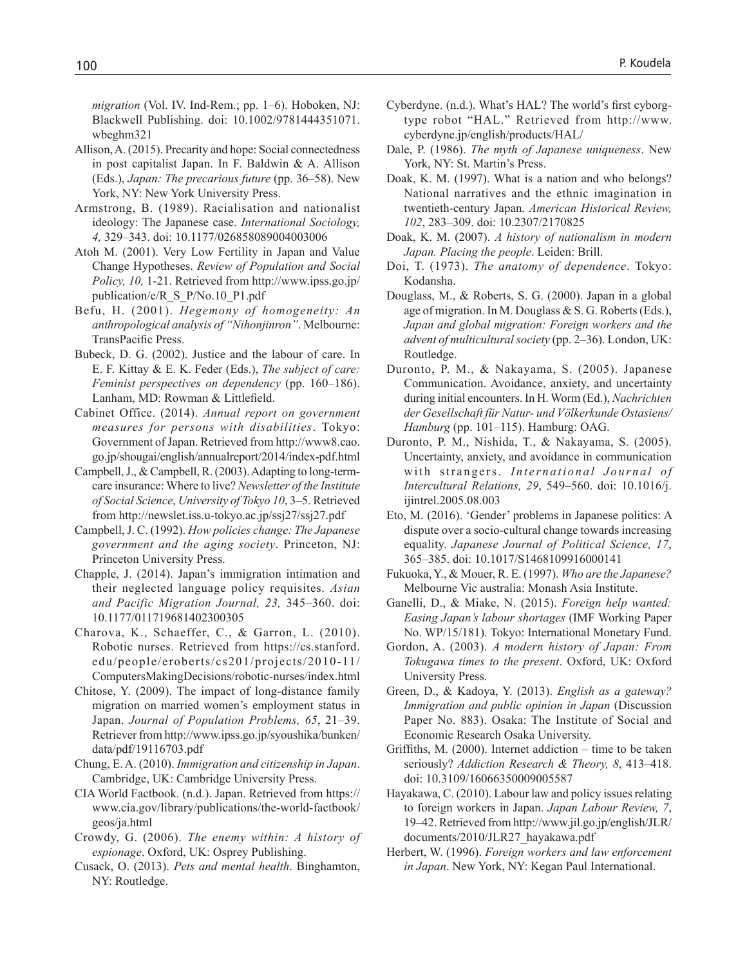*migration* (Vol. IV. Ind-Rem.; pp. 1–6). Hoboken, NJ: Blackwell Publishing. doi: 10.1002/9781444351071. wbeghm321

- Allison, A. (2015). Precarity and hope: Social connectedness in post capitalist Japan. In F. Baldwin & A. Allison (Eds.), *Japan: The precarious future* (pp. 36–58). New York, NY: New York University Press.
- Armstrong, B. (1989). Racialisation and nationalist ideology: The Japanese case. *International Sociology, 4,* 329–343. doi: 10.1177/026858089004003006
- Atoh M. (2001). Very Low Fertility in Japan and Value Change Hypotheses. *Review of Population and Social Policy, 10,* 1-21. Retrieved from http://www.ipss.go.jp/ publication/e/R\_S\_P/No.10\_P1.pdf
- Befu, H. (2001). *Hegemony of homogeneity: An anthropological analysis of "Nihonjinron"*. Melbourne: TransPacific Press.
- Bubeck, D. G. (2002). Justice and the labour of care. In E. F. Kittay & E. K. Feder (Eds.), *The subject of care: Feminist perspectives on dependency* (pp. 160–186). Lanham, MD: Rowman & Littlefield.
- Cabinet Office. (2014). *Annual report on government measures for persons with disabilities*. Tokyo: Government of Japan. Retrieved from http://www8.cao. go.jp/shougai/english/annualreport/2014/index-pdf.html
- Campbell, J., & Campbell, R. (2003). Adapting to long-termcare insurance: Where to live? *Newsletter of the Institute of Social Science*, *University of Tokyo 10*, 3–5. Retrieved from http://newslet.iss.u-tokyo.ac.jp/ssj27/ssj27.pdf
- Campbell, J. C. (1992). *How policies change: The Japanese government and the aging society*. Princeton, NJ: Princeton University Press.
- Chapple, J. (2014). Japan's immigration intimation and their neglected language policy requisites. *Asian and Pacific Migration Journal, 23,* 345–360. doi: 10.1177/011719681402300305
- Charova, K., Schaeffer, C., & Garron, L. (2010). Robotic nurses. Retrieved from https://cs.stanford. edu/people/eroberts/cs201/projects/2010-11/ ComputersMakingDecisions/robotic-nurses/index.html
- Chitose, Y. (2009). The impact of long-distance family migration on married women's employment status in Japan. *Journal of Population Problems, 65*, 21–39. Retriever from http://www.ipss.go.jp/syoushika/bunken/ data/pdf/19116703.pdf
- Chung, E. A. (2010). *Immigration and citizenship in Japan*. Cambridge, UK: Cambridge University Press.
- CIA World Factbook. (n.d.). Japan. Retrieved from https:// www.cia.gov/library/publications/the-world-factbook/ geos/ja.html
- Crowdy, G. (2006). *The enemy within: A history of espionage*. Oxford, UK: Osprey Publishing.
- Cusack, O. (2013). *Pets and mental health*. Binghamton, NY: Routledge.
- Cyberdyne. (n.d.). What's HAL? The world's first cyborgtype robot "HAL." Retrieved from http://www. cyberdyne.jp/english/products/HAL/
- Dale, P. (1986). *The myth of Japanese uniqueness*. New York, NY: St. Martin's Press.
- Doak, K. M. (1997). What is a nation and who belongs? National narratives and the ethnic imagination in twentieth-century Japan. *American Historical Review, 102*, 283–309. doi: 10.2307/2170825
- Doak, K. M. (2007). *A history of nationalism in modern Japan. Placing the people*. Leiden: Brill.
- Doi, T. (1973). *The anatomy of dependence*. Tokyo: Kodansha.
- Douglass, M., & Roberts, S. G. (2000). Japan in a global age of migration. In M. Douglass & S. G. Roberts (Eds.), *Japan and global migration: Foreign workers and the advent of multicultural society* (pp. 2–36). London, UK: Routledge.
- Duronto, P. M., & Nakayama, S. (2005). Japanese Communication. Avoidance, anxiety, and uncertainty during initial encounters. In H. Worm (Ed.), *Nachrichten der Gesellschaft für Natur- und Völkerkunde Ostasiens/ Hamburg* (pp. 101–115). Hamburg: OAG.
- Duronto, P. M., Nishida, T., & Nakayama, S. (2005). Uncertainty, anxiety, and avoidance in communication with strangers. *International Journal of Intercultural Relations, 29*, 549–560. doi: 10.1016/j. ijintrel.2005.08.003
- Eto, M. (2016). 'Gender' problems in Japanese politics: A dispute over a socio-cultural change towards increasing equality. *Japanese Journal of Political Science, 17*, 365–385. doi: 10.1017/S1468109916000141
- Fukuoka, Y., & Mouer, R. E. (1997). *Who are the Japanese?* Melbourne Vic australia: Monash Asia Institute.
- Ganelli, D., & Miake, N. (2015). *Foreign help wanted: Easing Japan's labour shortages* (IMF Working Paper No. WP/15/181). Tokyo: International Monetary Fund.
- Gordon, A. (2003). *A modern history of Japan: From Tokugawa times to the present*. Oxford, UK: Oxford University Press.
- Green, D., & Kadoya, Y. (2013). *English as a gateway? Immigration and public opinion in Japan* (Discussion Paper No. 883). Osaka: The Institute of Social and Economic Research Osaka University.
- Griffiths, M. (2000). Internet addiction time to be taken seriously? *Addiction Research & Theory, 8*, 413–418. doi: 10.3109/16066350009005587
- Hayakawa, C. (2010). Labour law and policy issues relating to foreign workers in Japan. *Japan Labour Review, 7*, 19–42. Retrieved from http://www.jil.go.jp/english/JLR/ documents/2010/JLR27\_hayakawa.pdf
- Herbert, W. (1996). *Foreign workers and law enforcement in Japan*. New York, NY: Kegan Paul International.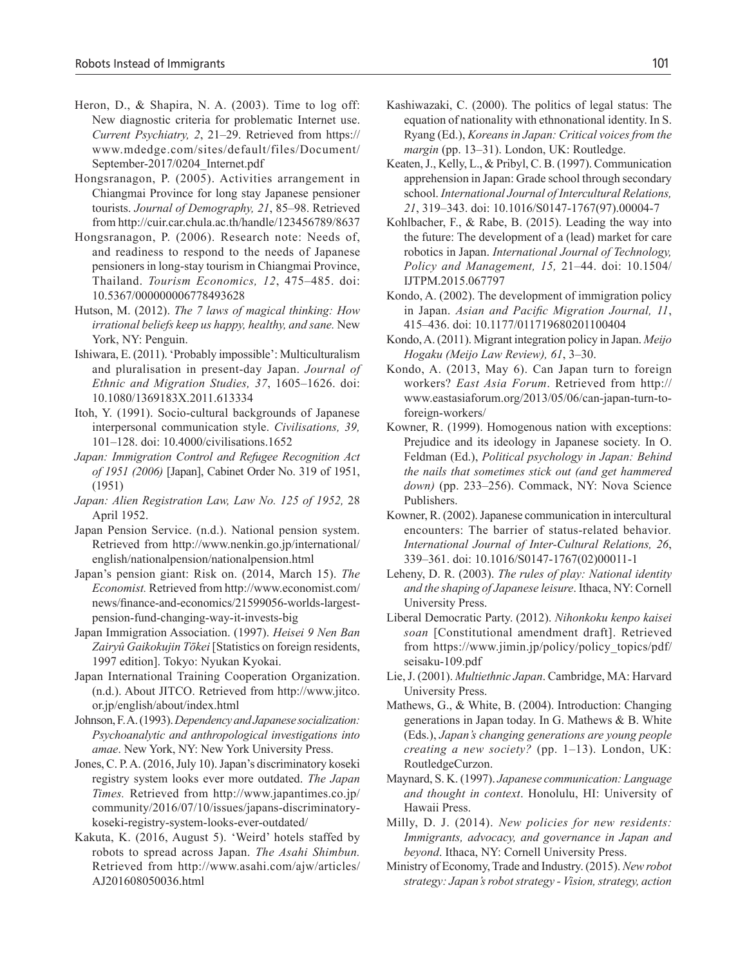- Heron, D., & Shapira, N. A. (2003). Time to log off: New diagnostic criteria for problematic Internet use. *Current Psychiatry, 2*, 21–29. Retrieved from https:// www.mdedge.com/sites/default/files/Document/ September-2017/0204\_Internet.pdf
- Hongsranagon, P. (2005). Activities arrangement in Chiangmai Province for long stay Japanese pensioner tourists. *Journal of Demography, 21*, 85–98. Retrieved from http://cuir.car.chula.ac.th/handle/123456789/8637
- Hongsranagon, P. (2006). Research note: Needs of, and readiness to respond to the needs of Japanese pensioners in long-stay tourism in Chiangmai Province, Thailand. *Tourism Economics, 12*, 475–485. doi: 10.5367/000000006778493628
- Hutson, M. (2012). *The 7 laws of magical thinking: How irrational beliefs keep us happy, healthy, and sane.* New York, NY: Penguin.
- Ishiwara, E. (2011). 'Probably impossible': Multiculturalism and pluralisation in present-day Japan. *Journal of Ethnic and Migration Studies, 37*, 1605–1626. doi: 10.1080/1369183X.2011.613334
- Itoh, Y. (1991). Socio-cultural backgrounds of Japanese interpersonal communication style. *Civilisations, 39,*  101–128. doi: 10.4000/civilisations.1652
- *Japan: Immigration Control and Refugee Recognition Act of 1951 (2006)* [Japan], Cabinet Order No. 319 of 1951, (1951)
- *Japan: Alien Registration Law, Law No. 125 of 1952,* 28 April 1952.
- Japan Pension Service. (n.d.). National pension system. Retrieved from http://www.nenkin.go.jp/international/ english/nationalpension/nationalpension.html
- Japan's pension giant: Risk on. (2014, March 15). *The Economist.* Retrieved from http://www.economist.com/ news/finance-and-economics/21599056-worlds-largestpension-fund-changing-way-it-invests-big
- Japan Immigration Association. (1997). *Heisei 9 Nen Ban Zairyû Gaikokujin Tōkei* [Statistics on foreign residents, 1997 edition]. Tokyo: Nyukan Kyokai.
- Japan International Training Cooperation Organization. (n.d.). About JITCO. Retrieved from http://www.jitco. or.jp/english/about/index.html
- Johnson, F. A. (1993). *Dependency and Japanese socialization: Psychoanalytic and anthropological investigations into amae*. New York, NY: New York University Press.
- Jones, C. P. A. (2016, July 10). Japan's discriminatory koseki registry system looks ever more outdated. *The Japan Times.* Retrieved from http://www.japantimes.co.jp/ community/2016/07/10/issues/japans-discriminatorykoseki-registry-system-looks-ever-outdated/
- Kakuta, K. (2016, August 5). 'Weird' hotels staffed by robots to spread across Japan. *The Asahi Shimbun.*  Retrieved from http://www.asahi.com/ajw/articles/ AJ201608050036.html
- Kashiwazaki, C. (2000). The politics of legal status: The equation of nationality with ethnonational identity. In S. Ryang (Ed.), *Koreans in Japan: Critical voices from the margin* (pp. 13–31). London, UK: Routledge.
- Keaten, J., Kelly, L., & Pribyl, C. B. (1997). Communication apprehension in Japan: Grade school through secondary school. *International Journal of Intercultural Relations, 21*, 319–343. doi: 10.1016/S0147-1767(97).00004-7
- Kohlbacher, F., & Rabe, B. (2015). Leading the way into the future: The development of a (lead) market for care robotics in Japan. *International Journal of Technology, Policy and Management, 15,* 21–44. doi: 10.1504/ IJTPM.2015.067797
- Kondo, A. (2002). The development of immigration policy in Japan. *Asian and Pacific Migration Journal, 11*, 415–436. doi: 10.1177/011719680201100404
- Kondo, A. (2011). Migrant integration policy in Japan. *Meijo Hogaku (Meijo Law Review), 61*, 3–30.
- Kondo, A. (2013, May 6). Can Japan turn to foreign workers? *East Asia Forum*. Retrieved from http:// www.eastasiaforum.org/2013/05/06/can-japan-turn-toforeign-workers/
- Kowner, R. (1999). Homogenous nation with exceptions: Prejudice and its ideology in Japanese society. In O. Feldman (Ed.), *Political psychology in Japan: Behind the nails that sometimes stick out (and get hammered down)* (pp. 233–256). Commack, NY: Nova Science Publishers.
- Kowner, R. (2002). Japanese communication in intercultural encounters: The barrier of status-related behavior*. International Journal of Inter-Cultural Relations, 26*, 339–361. doi: 10.1016/S0147-1767(02)00011-1
- Leheny, D. R. (2003). *The rules of play: National identity and the shaping of Japanese leisure*. Ithaca, NY: Cornell University Press.
- Liberal Democratic Party. (2012). *Nihonkoku kenpo kaisei soan* [Constitutional amendment draft]. Retrieved from https://www.jimin.jp/policy/policy\_topics/pdf/ seisaku-109.pdf
- Lie, J. (2001). *Multiethnic Japan*. Cambridge, MA: Harvard University Press.
- Mathews, G., & White, B. (2004). Introduction: Changing generations in Japan today. In G. Mathews & B. White (Eds.), *Japan's changing generations are young people creating a new society?* (pp. 1–13). London, UK: RoutledgeCurzon.
- Maynard, S. K. (1997). *Japanese communication: Language and thought in context*. Honolulu, HI: University of Hawaii Press.
- Milly, D. J. (2014). *New policies for new residents: Immigrants, advocacy, and governance in Japan and beyond*. Ithaca, NY: Cornell University Press.
- Ministry of Economy, Trade and Industry. (2015). *New robot strategy: Japan's robot strategy - Vision, strategy, action*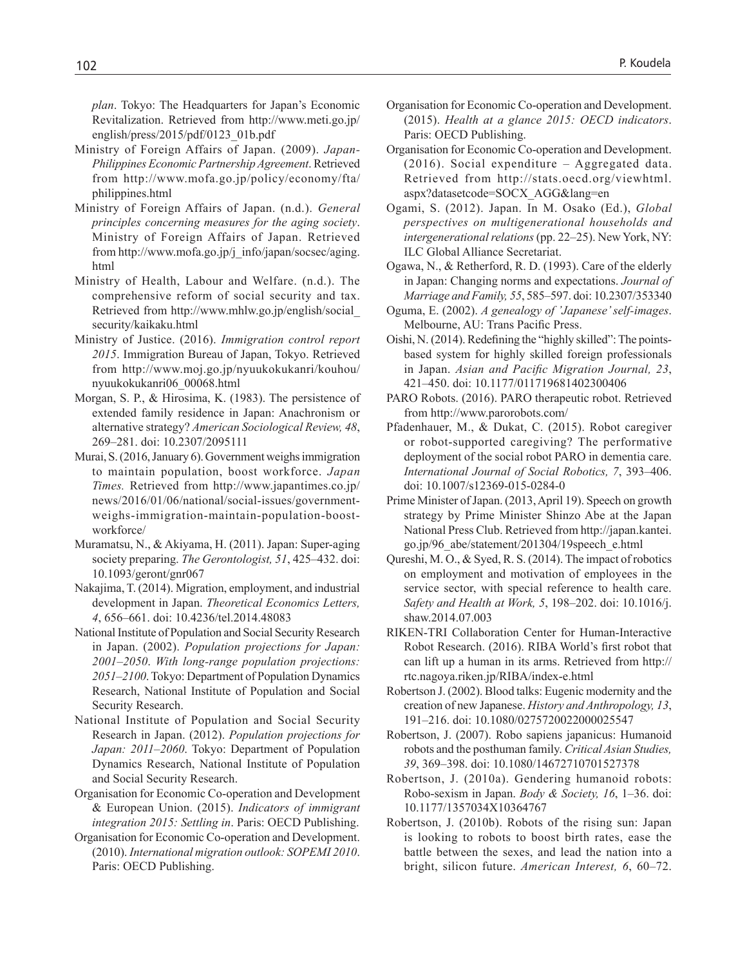*plan*. Tokyo: The Headquarters for Japan's Economic Revitalization. Retrieved from http://www.meti.go.jp/ english/press/2015/pdf/0123\_01b.pdf

- Ministry of Foreign Affairs of Japan. (2009). *Japan-Philippines Economic Partnership Agreement*. Retrieved from http://www.mofa.go.jp/policy/economy/fta/ philippines.html
- Ministry of Foreign Affairs of Japan. (n.d.). *General principles concerning measures for the aging society*. Ministry of Foreign Affairs of Japan. Retrieved from http://www.mofa.go.jp/j\_info/japan/socsec/aging. html
- Ministry of Health, Labour and Welfare. (n.d.). The comprehensive reform of social security and tax. Retrieved from http://www.mhlw.go.jp/english/social\_ security/kaikaku.html
- Ministry of Justice. (2016). *Immigration control report 2015*. Immigration Bureau of Japan, Tokyo. Retrieved from http://www.moj.go.jp/nyuukokukanri/kouhou/ nyuukokukanri06\_00068.html
- Morgan, S. P., & Hirosima, K. (1983). The persistence of extended family residence in Japan: Anachronism or alternative strategy? *American Sociological Review, 48*, 269–281. doi: 10.2307/2095111
- Murai, S. (2016, January 6). Government weighs immigration to maintain population, boost workforce. *Japan Times.* Retrieved from http://www.japantimes.co.jp/ news/2016/01/06/national/social-issues/governmentweighs-immigration-maintain-population-boostworkforce/
- Muramatsu, N., & Akiyama, H. (2011). Japan: Super-aging society preparing. *The Gerontologist, 51*, 425–432. doi: 10.1093/geront/gnr067
- Nakajima, T. (2014). Migration, employment, and industrial development in Japan. *Theoretical Economics Letters, 4*, 656–661. doi: 10.4236/tel.2014.48083
- National Institute of Population and Social Security Research in Japan. (2002). *Population projections for Japan: 2001–2050*. *With long-range population projections: 2051–2100*. Tokyo: Department of Population Dynamics Research, National Institute of Population and Social Security Research.
- National Institute of Population and Social Security Research in Japan. (2012). *Population projections for Japan: 2011–2060*. Tokyo: Department of Population Dynamics Research, National Institute of Population and Social Security Research.
- Organisation for Economic Co-operation and Development & European Union. (2015). *Indicators of immigrant integration 2015: Settling in*. Paris: OECD Publishing.
- Organisation for Economic Co-operation and Development. (2010). *International migration outlook: SOPEMI 2010*. Paris: OECD Publishing.
- Organisation for Economic Co-operation and Development. (2015). *Health at a glance 2015: OECD indicators*. Paris: OECD Publishing.
- Organisation for Economic Co-operation and Development. (2016). Social expenditure – Aggregated data. Retrieved from http://stats.oecd.org/viewhtml. aspx?datasetcode=SOCX\_AGG&lang=en
- Ogami, S. (2012). Japan. In M. Osako (Ed.), *Global perspectives on multigenerational households and intergenerational relations* (pp. 22–25). New York, NY: ILC Global Alliance Secretariat.
- Ogawa, N., & Retherford, R. D. (1993). Care of the elderly in Japan: Changing norms and expectations. *Journal of Marriage and Family, 55*, 585–597. doi: 10.2307/353340
- Oguma, E. (2002). *A genealogy of 'Japanese' self-images*. Melbourne, AU: Trans Pacific Press.
- Oishi, N. (2014). Redefining the "highly skilled": The pointsbased system for highly skilled foreign professionals in Japan. *Asian and Pacific Migration Journal, 23*, 421–450. doi: 10.1177/011719681402300406
- PARO Robots. (2016). PARO therapeutic robot. Retrieved from http://www.parorobots.com/
- Pfadenhauer, M., & Dukat, C. (2015). Robot caregiver or robot-supported caregiving? The performative deployment of the social robot PARO in dementia care. *International Journal of Social Robotics, 7*, 393–406. doi: 10.1007/s12369-015-0284-0
- Prime Minister of Japan. (2013, April 19). Speech on growth strategy by Prime Minister Shinzo Abe at the Japan National Press Club. Retrieved from http://japan.kantei. go.jp/96\_abe/statement/201304/19speech\_e.html
- Qureshi, M. O., & Syed, R. S. (2014). The impact of robotics on employment and motivation of employees in the service sector, with special reference to health care. *Safety and Health at Work, 5*, 198–202. doi: 10.1016/j. shaw.2014.07.003
- RIKEN-TRI Collaboration Center for Human-Interactive Robot Research. (2016). RIBA World's first robot that can lift up a human in its arms. Retrieved from http:// rtc.nagoya.riken.jp/RIBA/index-e.html
- Robertson J. (2002). Blood talks: Eugenic modernity and the creation of new Japanese. *History and Anthropology, 13*, 191–216. doi: 10.1080/0275720022000025547
- Robertson, J. (2007). Robo sapiens japanicus: Humanoid robots and the posthuman family. *Critical Asian Studies, 39*, 369–398. doi: 10.1080/14672710701527378
- Robertson, J. (2010a). Gendering humanoid robots: Robo-sexism in Japan. *Body & Society, 16*, 1–36. doi: 10.1177/1357034X10364767
- Robertson, J. (2010b). Robots of the rising sun: Japan is looking to robots to boost birth rates, ease the battle between the sexes, and lead the nation into a bright, silicon future. *American Interest, 6*, 60–72.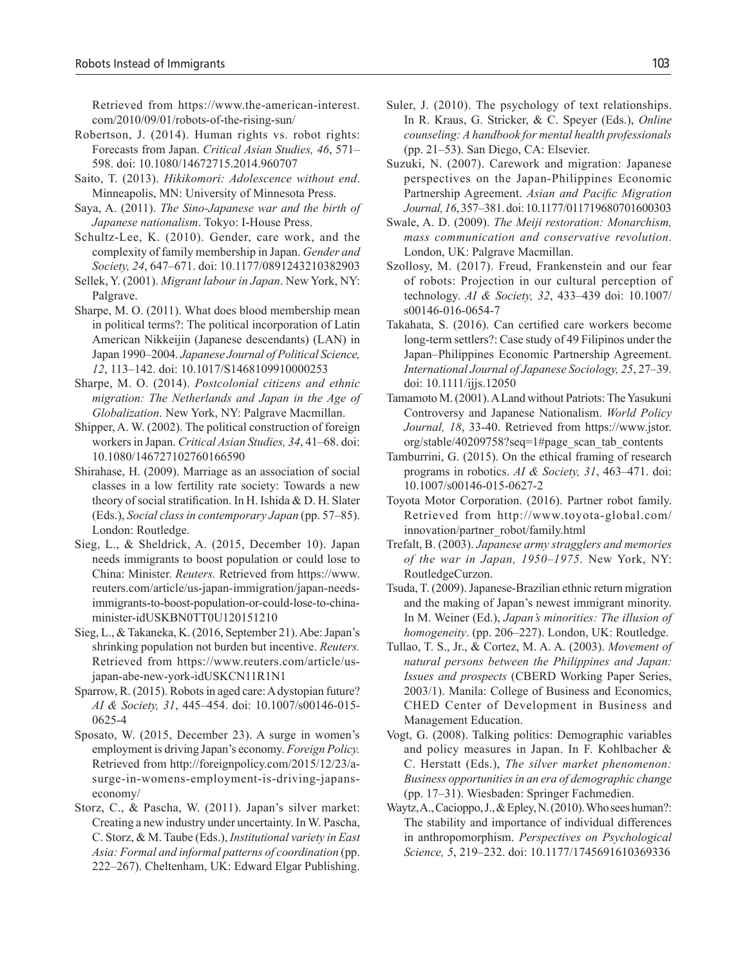Retrieved from https://www.the-american-interest. com/2010/09/01/robots-of-the-rising-sun/

- Robertson, J. (2014). Human rights vs. robot rights: Forecasts from Japan. *Critical Asian Studies, 46*, 571– 598. doi: 10.1080/14672715.2014.960707
- Saito, T. (2013). *Hikikomori: Adolescence without end*. Minneapolis, MN: University of Minnesota Press.
- Saya, A. (2011). *The Sino-Japanese war and the birth of Japanese nationalism*. Tokyo: I-House Press.
- Schultz-Lee, K. (2010). Gender, care work, and the complexity of family membership in Japan. *Gender and Society, 24*, 647–671. doi: 10.1177/0891243210382903
- Sellek, Y. (2001). *Migrant labour in Japan*. New York, NY: Palgrave.
- Sharpe, M. O. (2011). What does blood membership mean in political terms?: The political incorporation of Latin American Nikkeijin (Japanese descendants) (LAN) in Japan 1990–2004. *Japanese Journal of Political Science, 12*, 113–142. doi: 10.1017/S1468109910000253
- Sharpe, M. O. (2014). *Postcolonial citizens and ethnic migration: The Netherlands and Japan in the Age of Globalization*. New York, NY: Palgrave Macmillan.
- Shipper, A. W. (2002). The political construction of foreign workers in Japan. *Critical Asian Studies, 34*, 41–68. doi: 10.1080/146727102760166590
- Shirahase, H. (2009). Marriage as an association of social classes in a low fertility rate society: Towards a new theory of social stratification. In H. Ishida & D. H. Slater (Eds.), *Social class in contemporary Japan* (pp. 57–85). London: Routledge.
- Sieg, L., & Sheldrick, A. (2015, December 10). Japan needs immigrants to boost population or could lose to China: Minister. *Reuters.* Retrieved from https://www. reuters.com/article/us-japan-immigration/japan-needsimmigrants-to-boost-population-or-could-lose-to-chinaminister-idUSKBN0TT0U120151210
- Sieg, L., & Takaneka, K. (2016, September 21). Abe: Japan's shrinking population not burden but incentive. *Reuters.*  Retrieved from https://www.reuters.com/article/usjapan-abe-new-york-idUSKCN11R1N1
- Sparrow, R. (2015). Robots in aged care: A dystopian future? *AI & Society, 31*, 445–454. doi: 10.1007/s00146-015- 0625-4
- Sposato, W. (2015, December 23). A surge in women's employment is driving Japan's economy. *Foreign Policy.*  Retrieved from http://foreignpolicy.com/2015/12/23/asurge-in-womens-employment-is-driving-japanseconomy/
- Storz, C., & Pascha, W. (2011). Japan's silver market: Creating a new industry under uncertainty. In W. Pascha, C. Storz, & M. Taube (Eds.), *Institutional variety in East Asia: Formal and informal patterns of coordination* (pp. 222–267). Cheltenham, UK: Edward Elgar Publishing.
- Suler, J. (2010). The psychology of text relationships. In R. Kraus, G. Stricker, & C. Speyer (Eds.), *Online counseling: A handbook for mental health professionals* (pp. 21–53). San Diego, CA: Elsevier.
- Suzuki, N. (2007). Carework and migration: Japanese perspectives on the Japan-Philippines Economic Partnership Agreement. *Asian and Pacific Migration Journal, 16*, 357–381. doi: 10.1177/011719680701600303
- Swale, A. D. (2009). *The Meiji restoration: Monarchism, mass communication and conservative revolution*. London, UK: Palgrave Macmillan.
- Szollosy, M. (2017). Freud, Frankenstein and our fear of robots: Projection in our cultural perception of technology. *AI & Society, 32*, 433–439 doi: 10.1007/ s00146-016-0654-7
- Takahata, S. (2016). Can certified care workers become long-term settlers?: Case study of 49 Filipinos under the Japan–Philippines Economic Partnership Agreement. *International Journal of Japanese Sociology, 25*, 27–39. doi: 10.1111/ijjs.12050
- Tamamoto M. (2001). A Land without Patriots: The Yasukuni Controversy and Japanese Nationalism. *World Policy Journal, 18*, 33-40. Retrieved from https://www.jstor. org/stable/40209758?seq=1#page\_scan\_tab\_contents
- Tamburrini, G. (2015). On the ethical framing of research programs in robotics. *AI & Society, 31*, 463–471. doi: 10.1007/s00146-015-0627-2
- Toyota Motor Corporation. (2016). Partner robot family. Retrieved from http://www.toyota-global.com/ innovation/partner\_robot/family.html
- Trefalt, B. (2003). *Japanese army stragglers and memories of the war in Japan, 1950–1975*. New York, NY: RoutledgeCurzon.
- Tsuda, T. (2009). Japanese-Brazilian ethnic return migration and the making of Japan's newest immigrant minority. In M. Weiner (Ed.), *Japan's minorities: The illusion of homogeneity*. (pp. 206–227). London, UK: Routledge.
- Tullao, T. S., Jr., & Cortez, M. A. A. (2003). *Movement of natural persons between the Philippines and Japan: Issues and prospects* (CBERD Working Paper Series, 2003/1). Manila: College of Business and Economics, CHED Center of Development in Business and Management Education.
- Vogt, G. (2008). Talking politics: Demographic variables and policy measures in Japan. In F. Kohlbacher & C. Herstatt (Eds.), *The silver market phenomenon: Business opportunities in an era of demographic change* (pp. 17–31). Wiesbaden: Springer Fachmedien.
- Waytz, A., Cacioppo, J., & Epley, N. (2010). Who sees human?: The stability and importance of individual differences in anthropomorphism. *Perspectives on Psychological Science, 5*, 219–232. doi: 10.1177/1745691610369336